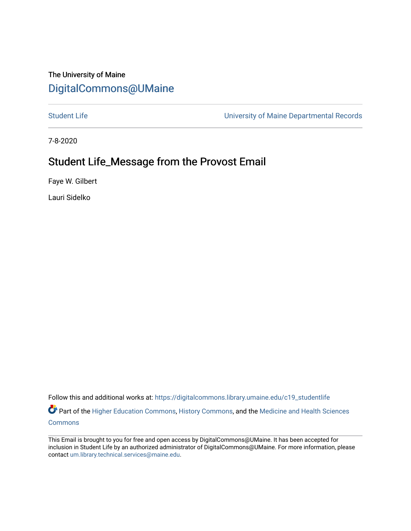## The University of Maine [DigitalCommons@UMaine](https://digitalcommons.library.umaine.edu/)

[Student Life](https://digitalcommons.library.umaine.edu/c19_studentlife) **Student Life** University of Maine Departmental Records

7-8-2020

## Student Life\_Message from the Provost Email

Faye W. Gilbert

Lauri Sidelko

Follow this and additional works at: [https://digitalcommons.library.umaine.edu/c19\\_studentlife](https://digitalcommons.library.umaine.edu/c19_studentlife?utm_source=digitalcommons.library.umaine.edu%2Fc19_studentlife%2F9&utm_medium=PDF&utm_campaign=PDFCoverPages) 

Part of the [Higher Education Commons,](http://network.bepress.com/hgg/discipline/1245?utm_source=digitalcommons.library.umaine.edu%2Fc19_studentlife%2F9&utm_medium=PDF&utm_campaign=PDFCoverPages) [History Commons,](http://network.bepress.com/hgg/discipline/489?utm_source=digitalcommons.library.umaine.edu%2Fc19_studentlife%2F9&utm_medium=PDF&utm_campaign=PDFCoverPages) and the Medicine and Health Sciences **[Commons](http://network.bepress.com/hgg/discipline/648?utm_source=digitalcommons.library.umaine.edu%2Fc19_studentlife%2F9&utm_medium=PDF&utm_campaign=PDFCoverPages)** 

This Email is brought to you for free and open access by DigitalCommons@UMaine. It has been accepted for inclusion in Student Life by an authorized administrator of DigitalCommons@UMaine. For more information, please contact [um.library.technical.services@maine.edu](mailto:um.library.technical.services@maine.edu).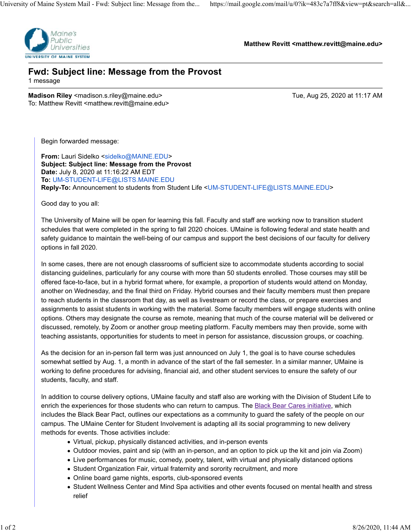

**Matthew Revitt <matthew.revitt@maine.edu>**

## **Fwd: Subject line: Message from the Provost** 1 message

**Madison Riley** <madison.s.riley@maine.edu> Tue, Aug 25, 2020 at 11:17 AM To: Matthew Revitt <matthew.revitt@maine.edu>

Begin forwarded message:

**From: Lauri Sidelko <sidelko@MAINE.EDU> Subject: Subject line: Message from the Provost Date:** July 8, 2020 at 11:16:22 AM EDT **To:** UM-STUDENT-LIFE@LISTS.MAINE.EDU **Reply-To:** Announcement to students from Student Life <UM-STUDENT-LIFE@LISTS.MAINE.EDU>

Good day to you all:

The University of Maine will be open for learning this fall. Faculty and staff are working now to transition student schedules that were completed in the spring to fall 2020 choices. UMaine is following federal and state health and safety guidance to maintain the well-being of our campus and support the best decisions of our faculty for delivery options in fall 2020.

In some cases, there are not enough classrooms of sufficient size to accommodate students according to social distancing guidelines, particularly for any course with more than 50 students enrolled. Those courses may still be offered face-to-face, but in a hybrid format where, for example, a proportion of students would attend on Monday, another on Wednesday, and the final third on Friday. Hybrid courses and their faculty members must then prepare to reach students in the classroom that day, as well as livestream or record the class, or prepare exercises and assignments to assist students in working with the material. Some faculty members will engage students with online options. Others may designate the course as remote, meaning that much of the course material will be delivered or discussed, remotely, by Zoom or another group meeting platform. Faculty members may then provide, some with teaching assistants, opportunities for students to meet in person for assistance, discussion groups, or coaching.

As the decision for an in-person fall term was just announced on July 1, the goal is to have course schedules somewhat settled by Aug. 1, a month in advance of the start of the fall semester. In a similar manner, UMaine is working to define procedures for advising, financial aid, and other student services to ensure the safety of our students, faculty, and staff.

In addition to course delivery options, UMaine faculty and staff also are working with the Division of Student Life to enrich the experiences for those students who can return to campus. The Black Bear Cares initiative, which includes the Black Bear Pact, outlines our expectations as a community to guard the safety of the people on our campus. The UMaine Center for Student Involvement is adapting all its social programming to new delivery methods for events. Those activities include:

- Virtual, pickup, physically distanced activities, and in-person events
- Outdoor movies, paint and sip (with an in-person, and an option to pick up the kit and join via Zoom)
- Live performances for music, comedy, poetry, talent, with virtual and physically distanced options
- Student Organization Fair, virtual fraternity and sorority recruitment, and more
- Online board game nights, esports, club-sponsored events
- Student Wellness Center and Mind Spa activities and other events focused on mental health and stress relief